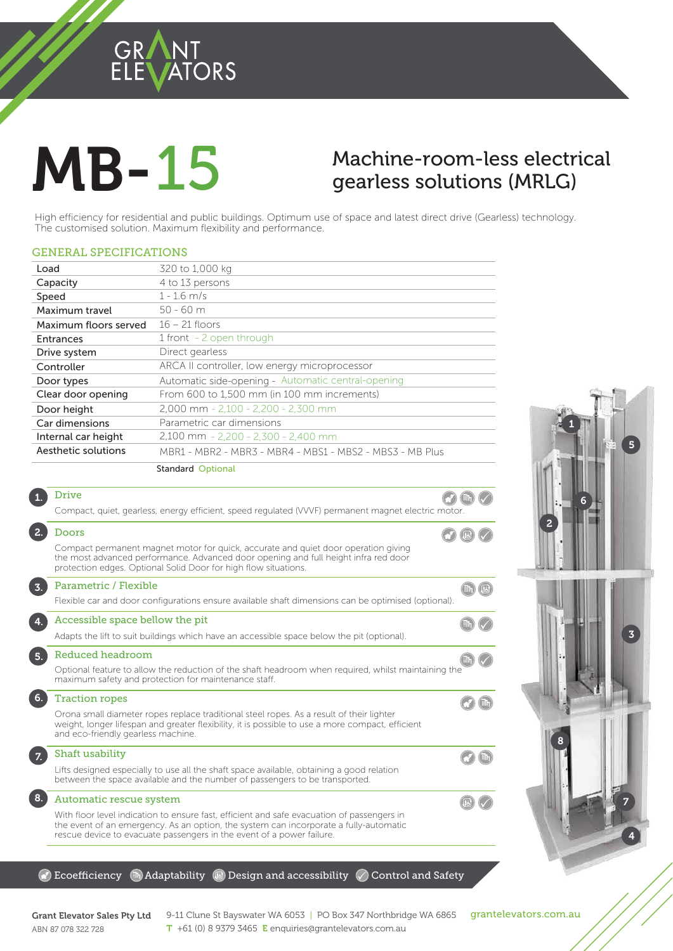## **GRANT** ORS

# **MB-15**

# Machine-room-less electrical  $g$ earless solutions (MRLG)

gearless solutions (MRLG)<br>tial and public buildings. Optimum use of space and latest direct drive (Gearless) technology.<br>Maximum flexibility and performance. High efficiency for residential and public buildings. Optimum use of space and latest direct drive (Gearless) technology. The customised solution. Maximum flexibility and performance.

#### GENERAL SPECIFICATIONS

|                       | <b>Standard Optional</b>                                 |
|-----------------------|----------------------------------------------------------|
| Aesthetic solutions   | MBR1 - MBR2 - MBR3 - MBR4 - MBS1 - MBS2 - MBS3 - MB Plus |
| Internal car height   | 2,100 mm - 2,200 - 2,300 - 2,400 mm                      |
| Car dimensions        | Parametric car dimensions                                |
| Door height           | 2,000 mm - 2,100 - 2,200 - 2,300 mm                      |
| Clear door opening    | From 600 to 1,500 mm (in 100 mm increments)              |
| Door types            | Automatic side-opening - Automatic central-opening       |
| Controller            | ARCA II controller, low energy microprocessor            |
| Drive system          | Direct gearless                                          |
| <b>Entrances</b>      | 1 front - 2 open through                                 |
| Maximum floors served | $16 - 21$ floors                                         |
| Maximum travel        | $50 - 60$ m                                              |
| Speed                 | $1 - 1.6$ m/s                                            |
| Capacity              | 4 to 13 persons                                          |
| Load                  | 320 to 1,000 kg                                          |
|                       |                                                          |

#### Drive 1.  $\bigcirc$  (ih) Compact, quiet, gearless, energy efficient, speed regulated (VVVF) permanent magnet electric motor. 2. Doors  $\odot$  (B)  $\odot$ Compact permanent magnet motor for quick, accurate and quiet door operation giving the most advanced performance. Advanced door opening and full height infra red door protection edges. Optional Solid Door for high flow situations. Parametric / Flexible  $\text{th}$   $\text{B}$ 3. Flexible car and door configurations ensure available shaft dimensions can be optimised (optional) Accessible space bellow the pit 4.  $\left(\mathbb{H}\right)$   $\left(\sqrt{2}\right)$ Adapts the lift to suit buildings which have an accessible space below the pit (optional). 5. Reduced headroom  $\left(\mathbb{h}\right)\left(\sqrt{\phantom{a}}\right)$ Optional feature to allow the reduction of the shaft headroom when required, whilst maintaining the maximum safety and protection for maintenance staff. 6. Traction ropes Orona small diameter ropes replace traditional steel ropes. As a result of their lighter weight, longer lifespan and greater flexibility, it is possible to use a more compact, efficient and eco-friendly gearless machine. Shaft usability 7. Lifts designed especially to use all the shaft space available, obtaining a good relation between the space available and the number of passengers to be transported. 8. Automatic rescue system  $\left( \mathbb{R}\right)$   $\left( \right.$ With floor level indication to ensure fast, efficient and safe evacuation of passengers in the event of an emergency. As an option, the system can incorporate a fully-automatic

#### $\mathbb G$  Ecoefficiency  $\mathbb G$  Adaptability  $\mathbb G$  Design and accessibility  $\mathbb O$  Control and Safety

rescue device to evacuate passengers in the event of a power failure.





## ABN 87 078 322 728

Grant Elevator Sales Pty Ltd  $9-11$  Clune St Bayswater WA 6053 | PO Box 347 Northbridge WA 6865 grantelevators.com.au<br>APM 97.979.799.799 T +61 (0) 8 9379 3465 E enquiries@grantelevators.com.au